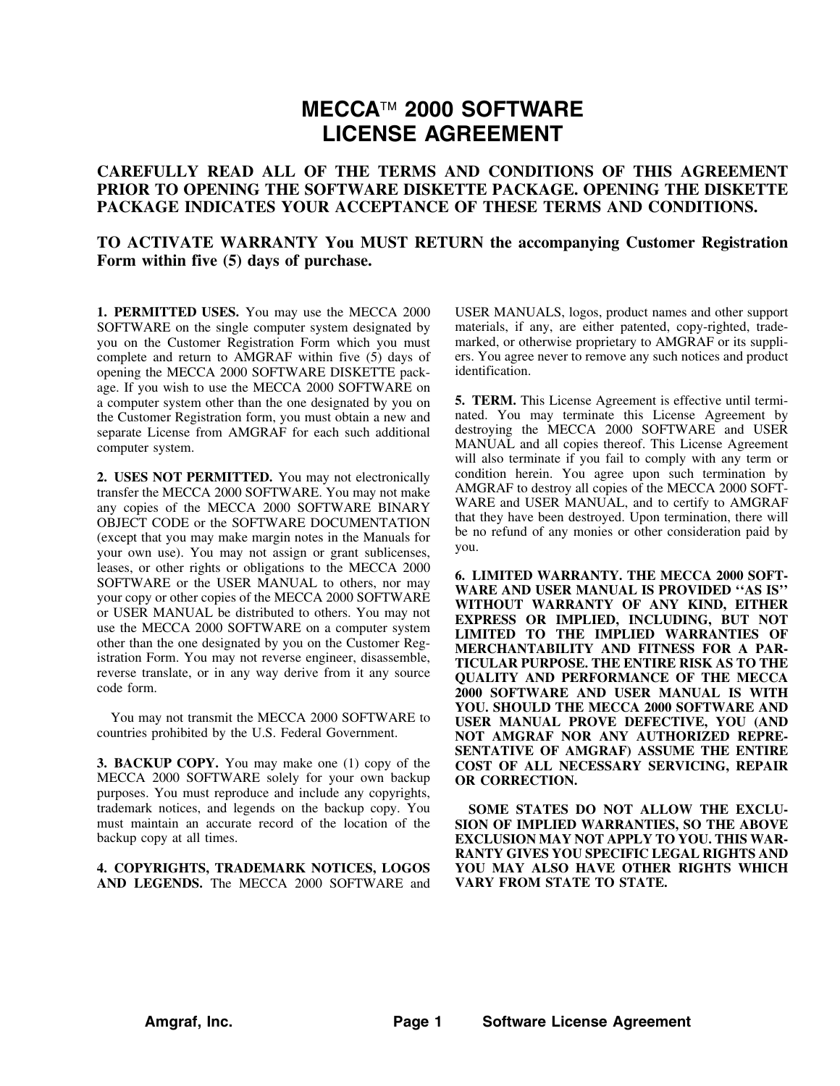## **MECCA 2000 SOFTWARE LICENSE AGREEMENT**

## **CAREFULLY READ ALL OF THE TERMS AND CONDITIONS OF THIS AGREEMENT PRIOR TO OPENING THE SOFTWARE DISKETTE PACKAGE. OPENING THE DISKETTE PACKAGE INDICATES YOUR ACCEPTANCE OF THESE TERMS AND CONDITIONS.**

## **TO ACTIVATE WARRANTY You MUST RETURN the accompanying Customer Registration Form within five (5) days of purchase.**

**1. PERMITTED USES.** You may use the MECCA 2000 SOFTWARE on the single computer system designated by you on the Customer Registration Form which you must complete and return to AMGRAF within five (5) days of opening the MECCA 2000 SOFTWARE DISKETTE package. If you wish to use the MECCA 2000 SOFTWARE on a computer system other than the one designated by you on the Customer Registration form, you must obtain a new and separate License from AMGRAF for each such additional computer system.

**2. USES NOT PERMITTED.** You may not electronically transfer the MECCA 2000 SOFTWARE. You may not make any copies of the MECCA 2000 SOFTWARE BINARY OBJECT CODE or the SOFTWARE DOCUMENTATION (except that you may make margin notes in the Manuals for your own use). You may not assign or grant sublicenses, leases, or other rights or obligations to the MECCA 2000 SOFTWARE or the USER MANUAL to others, nor may your copy or other copies of the MECCA 2000 SOFTWARE or USER MANUAL be distributed to others. You may not use the MECCA 2000 SOFTWARE on a computer system other than the one designated by you on the Customer Registration Form. You may not reverse engineer, disassemble, reverse translate, or in any way derive from it any source code form.

You may not transmit the MECCA 2000 SOFTWARE to countries prohibited by the U.S. Federal Government.

**3. BACKUP COPY.** You may make one (1) copy of the MECCA 2000 SOFTWARE solely for your own backup purposes. You must reproduce and include any copyrights, trademark notices, and legends on the backup copy. You must maintain an accurate record of the location of the backup copy at all times.

**4. COPYRIGHTS, TRADEMARK NOTICES, LOGOS AND LEGENDS.** The MECCA 2000 SOFTWARE and USER MANUALS, logos, product names and other support materials, if any, are either patented, copy-righted, trademarked, or otherwise proprietary to AMGRAF or its suppliers. You agree never to remove any such notices and product identification.

**5. TERM.** This License Agreement is effective until terminated. You may terminate this License Agreement by destroying the MECCA 2000 SOFTWARE and USER MANUAL and all copies thereof. This License Agreement will also terminate if you fail to comply with any term or condition herein. You agree upon such termination by AMGRAF to destroy all copies of the MECCA 2000 SOFT-WARE and USER MANUAL, and to certify to AMGRAF that they have been destroyed. Upon termination, there will be no refund of any monies or other consideration paid by you.

**6. LIMITED WARRANTY. THE MECCA 2000 SOFT-WARE AND USER MANUAL IS PROVIDED ''AS IS'' WITHOUT WARRANTY OF ANY KIND, EITHER EXPRESS OR IMPLIED, INCLUDING, BUT NOT LIMITED TO THE IMPLIED WARRANTIES OF MERCHANTABILITY AND FITNESS FOR A PAR-TICULAR PURPOSE. THE ENTIRE RISK AS TO THE QUALITY AND PERFORMANCE OF THE MECCA 2000 SOFTWARE AND USER MANUAL IS WITH YOU. SHOULD THE MECCA 2000 SOFTWARE AND USER MANUAL PROVE DEFECTIVE, YOU (AND NOT AMGRAF NOR ANY AUTHORIZED REPRE-SENTATIVE OF AMGRAF) ASSUME THE ENTIRE COST OF ALL NECESSARY SERVICING, REPAIR OR CORRECTION.**

**SOME STATES DO NOT ALLOW THE EXCLU-SION OF IMPLIED WARRANTIES, SO THE ABOVE EXCLUSION MAY NOT APPLY TO YOU. THIS WAR-RANTY GIVES YOU SPECIFIC LEGAL RIGHTS AND YOU MAY ALSO HAVE OTHER RIGHTS WHICH VARY FROM STATE TO STATE.**